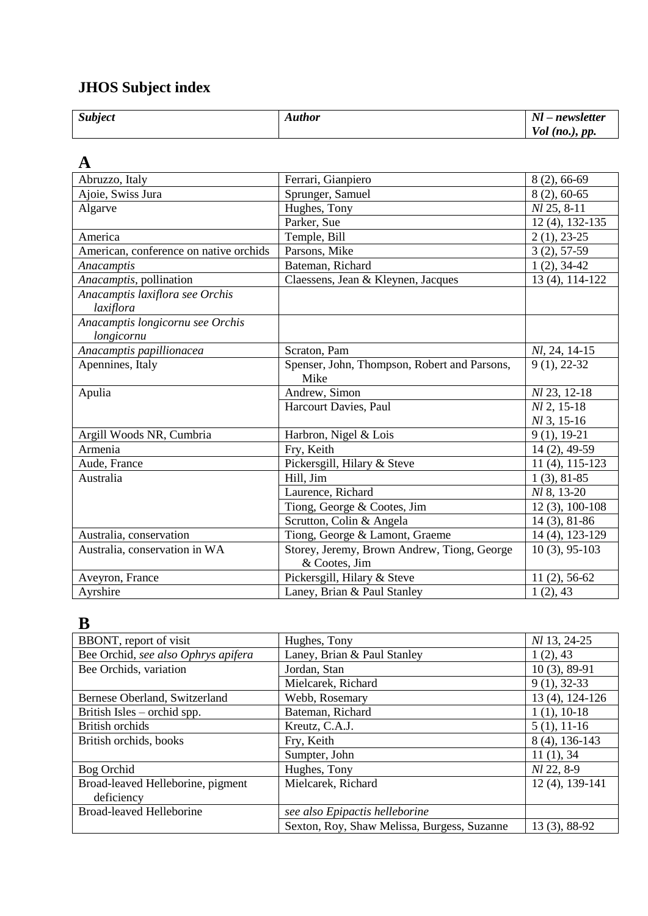#### **JHOS Subject index**

| $Nl$ – newsletter |
|-------------------|
| $Vol$ (no.), pp.  |

#### **A**

| Abruzzo, Italy                         | Ferrari, Gianpiero                           | 8 (2), 66-69        |
|----------------------------------------|----------------------------------------------|---------------------|
| Ajoie, Swiss Jura                      | Sprunger, Samuel                             | $8(2), 60-65$       |
| Algarve                                | Hughes, Tony                                 | Nl 25, 8-11         |
|                                        | Parker, Sue                                  | $12(4)$ , 132-135   |
| America                                | Temple, Bill                                 | $2(1), 23-25$       |
| American, conference on native orchids | Parsons, Mike                                | $3(2), 57-59$       |
| Anacamptis                             | Bateman, Richard                             | $1(2), 34-42$       |
| Anacamptis, pollination                | Claessens, Jean & Kleynen, Jacques           | 13 (4), 114-122     |
| Anacamptis laxiflora see Orchis        |                                              |                     |
| laxiflora                              |                                              |                     |
| Anacamptis longicornu see Orchis       |                                              |                     |
| longicornu                             |                                              |                     |
| Anacamptis papillionacea               | Scraton, Pam                                 | Nl, 24, 14-15       |
| Apennines, Italy                       | Spenser, John, Thompson, Robert and Parsons, | $9(1), 22-32$       |
|                                        | Mike                                         |                     |
| Apulia                                 | Andrew, Simon                                | Nl 23, 12-18        |
|                                        | Harcourt Davies, Paul                        | $M2, 15-18$         |
|                                        |                                              | $Nl$ 3, 15-16       |
| Argill Woods NR, Cumbria               | Harbron, Nigel & Lois                        | $9(1), 19-21$       |
| Armenia                                | Fry, Keith                                   | 14 (2), 49-59       |
| Aude, France                           | Pickersgill, Hilary & Steve                  | $11(4)$ , $115-123$ |
| Australia                              | Hill, Jim                                    | $1(3), 81-85$       |
|                                        | Laurence, Richard                            | <i>Nl</i> 8, 13-20  |
|                                        | Tiong, George & Cootes, Jim                  | $12(3), 100-108$    |
|                                        | Scrutton, Colin & Angela                     | $14(3), 81-86$      |
| Australia, conservation                | Tiong, George & Lamont, Graeme               | 14 (4), 123-129     |
| Australia, conservation in WA          | Storey, Jeremy, Brown Andrew, Tiong, George  | $10(3)$ , 95-103    |
|                                        | & Cootes, Jim                                |                     |
| Aveyron, France                        | Pickersgill, Hilary & Steve                  | $11(2), 56-62$      |
| Ayrshire                               | Laney, Brian & Paul Stanley                  | 1(2), 43            |

#### **B**

| BBONT, report of visit              | Hughes, Tony                                | Nl 13, 24-25    |
|-------------------------------------|---------------------------------------------|-----------------|
| Bee Orchid, see also Ophrys apifera | Laney, Brian & Paul Stanley                 | 1(2), 43        |
| Bee Orchids, variation              | Jordan, Stan                                | $10(3), 89-91$  |
|                                     | Mielcarek, Richard                          | $9(1), 32-33$   |
| Bernese Oberland, Switzerland       | Webb, Rosemary                              | 13 (4), 124-126 |
| British Isles – orchid spp.         | Bateman, Richard                            | $1(1), 10-18$   |
| <b>British orchids</b>              | Kreutz, C.A.J.                              | $5(1), 11-16$   |
| British orchids, books              | Fry, Keith                                  | 8 (4), 136-143  |
|                                     | Sumpter, John                               | 11(1), 34       |
| Bog Orchid                          | Hughes, Tony                                | Nl 22, 8-9      |
| Broad-leaved Helleborine, pigment   | Mielcarek, Richard                          | 12 (4), 139-141 |
| deficiency                          |                                             |                 |
| <b>Broad-leaved Helleborine</b>     | see also Epipactis helleborine              |                 |
|                                     | Sexton, Roy, Shaw Melissa, Burgess, Suzanne | 13 (3), 88-92   |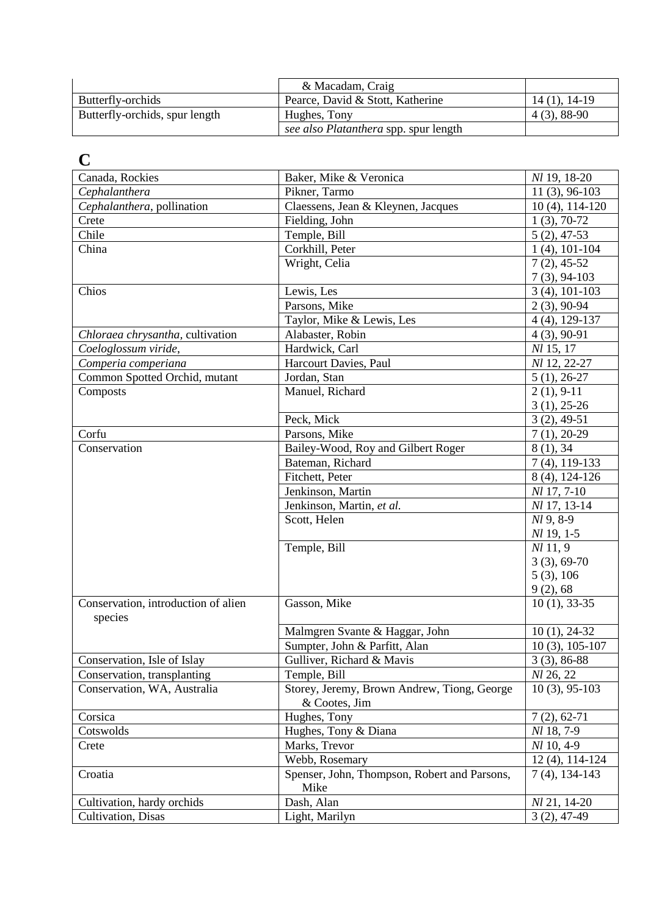|                                | & Macadam, Craig                      |                |
|--------------------------------|---------------------------------------|----------------|
| Butterfly-orchids              | Pearce, David & Stott, Katherine      | $14(1), 14-19$ |
| Butterfly-orchids, spur length | Hughes, Tony                          | $4(3), 88-90$  |
|                                | see also Platanthera spp. spur length |                |

## **C**

| Canada, Rockies                     | Baker, Mike & Veronica                                       | <i>NI</i> 19, 18-20        |
|-------------------------------------|--------------------------------------------------------------|----------------------------|
| Cephalanthera                       | Pikner, Tarmo                                                | $\overline{1}1(3), 96-103$ |
| Cephalanthera, pollination          | Claessens, Jean & Kleynen, Jacques                           | $10(4)$ , $114-120$        |
| Crete                               | Fielding, John                                               | $1(3), 70-72$              |
| Chile                               | Temple, Bill                                                 | $5(2), 47-53$              |
| China                               | Corkhill, Peter                                              | $1(4)$ , 101-104           |
|                                     | Wright, Celia                                                | $7(2), 45-52$              |
|                                     |                                                              | $7(3)$ , 94-103            |
| Chios                               | Lewis, Les                                                   | $3(4)$ , 101-103           |
|                                     | Parsons, Mike                                                | $2(3)$ , 90-94             |
|                                     | Taylor, Mike & Lewis, Les                                    | $4(4)$ , 129-137           |
| Chloraea chrysantha, cultivation    | Alabaster, Robin                                             | $4(3), 90-91$              |
| Coeloglossum viride,                | Hardwick, Carl                                               | Nl 15, 17                  |
| Comperia comperiana                 | Harcourt Davies, Paul                                        | Nl 12, 22-27               |
| Common Spotted Orchid, mutant       | Jordan, Stan                                                 | $5(1), 26-27$              |
| Composts                            | Manuel, Richard                                              | $2(1), 9-11$               |
|                                     |                                                              | $3(1), 25-26$              |
|                                     | Peck, Mick                                                   | $3(2), 49-51$              |
| Corfu                               | Parsons, Mike                                                | $7(1), 20-29$              |
| Conservation                        | Bailey-Wood, Roy and Gilbert Roger                           | 8(1), 34                   |
|                                     | Bateman, Richard                                             | $7(4), 119-133$            |
|                                     | Fitchett, Peter                                              | 8 (4), 124-126             |
|                                     | Jenkinson, Martin                                            | Nl 17, 7-10                |
|                                     | Jenkinson, Martin, et al.                                    | Nl 17, 13-14               |
|                                     |                                                              | Nl 9, 8-9                  |
|                                     | Scott, Helen                                                 | Nl 19, 1-5                 |
|                                     | Temple, Bill                                                 | $Nl$ 11, 9                 |
|                                     |                                                              |                            |
|                                     |                                                              | $3(3), 69-70$              |
|                                     |                                                              | 5(3), 106                  |
| Conservation, introduction of alien | Gasson, Mike                                                 | 9(2), 68<br>$10(1), 33-35$ |
| species                             |                                                              |                            |
|                                     | Malmgren Svante & Haggar, John                               | $10(1), 24-32$             |
|                                     | Sumpter, John & Parfitt, Alan                                | $10(3)$ , $105-107$        |
| Conservation, Isle of Islay         | Gulliver, Richard & Mavis                                    |                            |
|                                     |                                                              | $3(3), 86-88$<br>Nl 26, 22 |
| Conservation, transplanting         | Temple, Bill                                                 |                            |
| Conservation, WA, Australia         | Storey, Jeremy, Brown Andrew, Tiong, George<br>& Cootes, Jim | $10(3)$ , 95-103           |
| Corsica                             | Hughes, Tony                                                 | $7(2), 62-71$              |
| Cotswolds                           | Hughes, Tony & Diana                                         | <i>Nl</i> 18, 7-9          |
| Crete                               | Marks, Trevor                                                | $Nl$ 10, 4-9               |
|                                     | Webb, Rosemary                                               | $12(4)$ , 114-124          |
| Croatia                             | Spenser, John, Thompson, Robert and Parsons,<br>Mike         | $7(4)$ , 134-143           |
| Cultivation, hardy orchids          | Dash, Alan                                                   | Nl 21, 14-20               |
| Cultivation, Disas                  | Light, Marilyn                                               | $3(2), 47-49$              |
|                                     |                                                              |                            |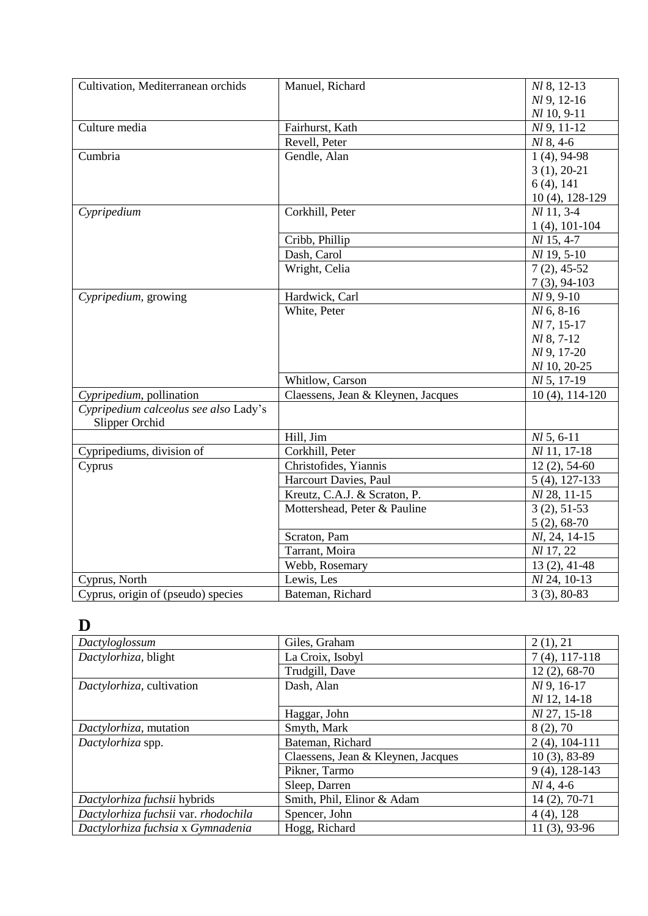| Cultivation, Mediterranean orchids    | Manuel, Richard                    | Nl 8, 12-13         |
|---------------------------------------|------------------------------------|---------------------|
|                                       |                                    | $Nl$ 9, 12-16       |
|                                       |                                    | $Nl$ 10, 9-11       |
| Culture media                         | Fairhurst, Kath                    | $Nl$ 9, 11-12       |
|                                       | Revell, Peter                      | $Nl$ 8, 4-6         |
| Cumbria                               | Gendle, Alan                       | $1(4)$ , 94-98      |
|                                       |                                    | $3(1), 20-21$       |
|                                       |                                    | $6(4)$ , 141        |
|                                       |                                    | 10 (4), 128-129     |
| Cypripedium                           | Corkhill, Peter                    | $Nl$ 11, 3-4        |
|                                       |                                    | $1(4)$ , 101-104    |
|                                       | Cribb, Phillip                     | Nl 15, 4-7          |
|                                       | Dash, Carol                        | $Nl$ 19, 5-10       |
|                                       | Wright, Celia                      | $7(2), 45-52$       |
|                                       |                                    | $7(3)$ , 94-103     |
| Cypripedium, growing                  | Hardwick, Carl                     | $Nl$ 9, 9-10        |
|                                       | White, Peter                       | $Nl$ 6, 8-16        |
|                                       |                                    | NI 7, 15-17         |
|                                       |                                    | <i>Nl</i> 8, 7-12   |
|                                       |                                    | Nl 9, 17-20         |
|                                       |                                    | Nl 10, 20-25        |
|                                       | Whitlow, Carson                    | $Nl$ 5, 17-19       |
| Cypripedium, pollination              | Claessens, Jean & Kleynen, Jacques | $10(4)$ , $114-120$ |
| Cypripedium calceolus see also Lady's |                                    |                     |
| Slipper Orchid                        |                                    |                     |
|                                       | Hill, Jim                          | $Nl$ 5, 6-11        |
| Cypripediums, division of             | Corkhill, Peter                    | Nl 11, 17-18        |
| Cyprus                                | Christofides, Yiannis              | $12(2), 54-60$      |
|                                       | Harcourt Davies, Paul              | $5(4)$ , 127-133    |
|                                       | Kreutz, C.A.J. & Scraton, P.       | Nl 28, 11-15        |
|                                       | Mottershead, Peter & Pauline       | $3(2), 51-53$       |
|                                       |                                    | $5(2), 68-70$       |
|                                       | Scraton, Pam                       | Nl, 24, 14-15       |
|                                       | Tarrant, Moira                     | Nl 17, 22           |
|                                       | Webb, Rosemary                     | $13(2), 41-48$      |
| Cyprus, North                         | Lewis, Les                         | Nl 24, 10-13        |
| Cyprus, origin of (pseudo) species    | Bateman, Richard                   | $3(3), 80-83$       |

### **D**

| Dactyloglossum                       | Giles, Graham                      | 2(1), 21         |
|--------------------------------------|------------------------------------|------------------|
| Dactylorhiza, blight                 | La Croix, Isobyl                   | $7(4)$ , 117-118 |
|                                      | Trudgill, Dave                     | $12(2), 68-70$   |
| Dactylorhiza, cultivation            | Dash, Alan                         | Nl 9, 16-17      |
|                                      |                                    | Nl 12, 14-18     |
|                                      | Haggar, John                       | Nl 27, 15-18     |
| Dactylorhiza, mutation               | Smyth, Mark                        | 8(2), 70         |
| Dactylorhiza spp.                    | Bateman, Richard                   | $2(4)$ , 104-111 |
|                                      | Claessens, Jean & Kleynen, Jacques | $10(3)$ , 83-89  |
|                                      | Pikner, Tarmo                      | $9(4)$ , 128-143 |
|                                      | Sleep, Darren                      | $Nl$ 4, 4-6      |
| Dactylorhiza fuchsii hybrids         | Smith, Phil, Elinor & Adam         | 14 (2), 70-71    |
| Dactylorhiza fuchsii var. rhodochila | Spencer, John                      | $4(4)$ , 128     |
| Dactylorhiza fuchsia x Gymnadenia    | Hogg, Richard                      | $11(3), 93-96$   |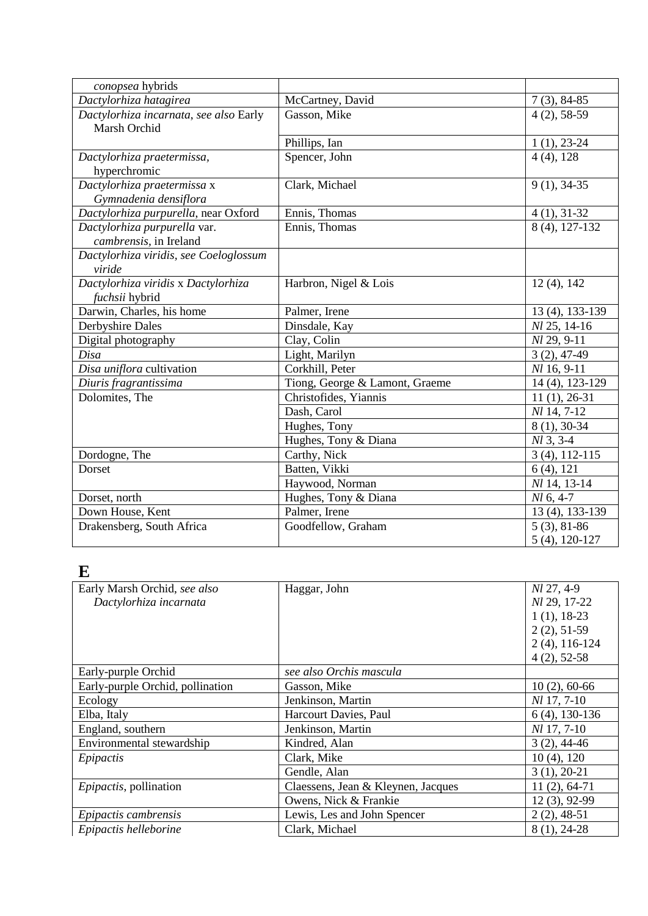| conopsea hybrids                                       |                                |                    |
|--------------------------------------------------------|--------------------------------|--------------------|
| Dactylorhiza hatagirea                                 | McCartney, David               | $7(3)$ , 84-85     |
| Dactylorhiza incarnata, see also Early<br>Marsh Orchid | Gasson, Mike                   | $4(2), 58-59$      |
|                                                        | Phillips, Ian                  | $1(1), 23-24$      |
| Dactylorhiza praetermissa,<br>hyperchromic             | Spencer, John                  | $4(4)$ , 128       |
| Dactylorhiza praetermissa x<br>Gymnadenia densiflora   | Clark, Michael                 | $9(1), 34-35$      |
| Dactylorhiza purpurella, near Oxford                   | Ennis, Thomas                  | $4(1), 31-32$      |
| Dactylorhiza purpurella var.<br>cambrensis, in Ireland | Ennis, Thomas                  | 8 (4), 127-132     |
| Dactylorhiza viridis, see Coeloglossum<br>viride       |                                |                    |
| Dactylorhiza viridis x Dactylorhiza<br>fuchsii hybrid  | Harbron, Nigel & Lois          | $12(4)$ , $142$    |
| Darwin, Charles, his home                              | Palmer, Irene                  | 13 (4), 133-139    |
| Derbyshire Dales                                       | Dinsdale, Kay                  | Nl 25, 14-16       |
| Digital photography                                    | Clay, Colin                    | Nl 29, 9-11        |
| Disa                                                   | Light, Marilyn                 | $3(2), 47-49$      |
| Disa uniflora cultivation                              | Corkhill, Peter                | $Nl$ 16, 9-11      |
| Diuris fragrantissima                                  | Tiong, George & Lamont, Graeme | 14 (4), 123-129    |
| Dolomites, The                                         | Christofides, Yiannis          | $11(1), 26-31$     |
|                                                        | Dash, Carol                    | <i>Nl</i> 14, 7-12 |
|                                                        | Hughes, Tony                   | 8 (1), 30-34       |
|                                                        | Hughes, Tony & Diana           | Nl 3, 3-4          |
| Dordogne, The                                          | Carthy, Nick                   | $3(4)$ , 112-115   |
| Dorset                                                 | Batten, Vikki                  | $6(4)$ , 121       |
|                                                        | Haywood, Norman                | Nl 14, 13-14       |
| Dorset, north                                          | Hughes, Tony & Diana           | $Nl$ 6, 4-7        |
| Down House, Kent                                       | Palmer, Irene                  | 13 (4), 133-139    |
| Drakensberg, South Africa                              | Goodfellow, Graham             | $5(3), 81-86$      |
|                                                        |                                | 5 (4), 120-127     |

### **E**

| Early Marsh Orchid, see also     | Haggar, John                       | Nl 27, 4-9         |
|----------------------------------|------------------------------------|--------------------|
| Dactylorhiza incarnata           |                                    | Nl 29, 17-22       |
|                                  |                                    | $1(1), 18-23$      |
|                                  |                                    | $2(2), 51-59$      |
|                                  |                                    | $2(4)$ , 116-124   |
|                                  |                                    | $4(2), 52-58$      |
| Early-purple Orchid              | see also Orchis mascula            |                    |
| Early-purple Orchid, pollination | Gasson, Mike                       | $10(2)$ , 60-66    |
| Ecology                          | Jenkinson, Martin                  | <i>Nl</i> 17, 7-10 |
| Elba, Italy                      | Harcourt Davies, Paul              | $6(4)$ , 130-136   |
| England, southern                | Jenkinson, Martin                  | <i>Nl</i> 17, 7-10 |
| Environmental stewardship        | Kindred, Alan                      | $3(2), 44-46$      |
| Epipactis                        | Clark, Mike                        | $10(4)$ , $120$    |
|                                  | Gendle, Alan                       | $3(1), 20-21$      |
| Epipactis, pollination           | Claessens, Jean & Kleynen, Jacques | $11(2), 64-71$     |
|                                  | Owens, Nick & Frankie              | $12(3), 92-99$     |
| Epipactis cambrensis             | Lewis, Les and John Spencer        | $2(2), 48-51$      |
| Epipactis helleborine            | Clark, Michael                     | 8 (1), 24-28       |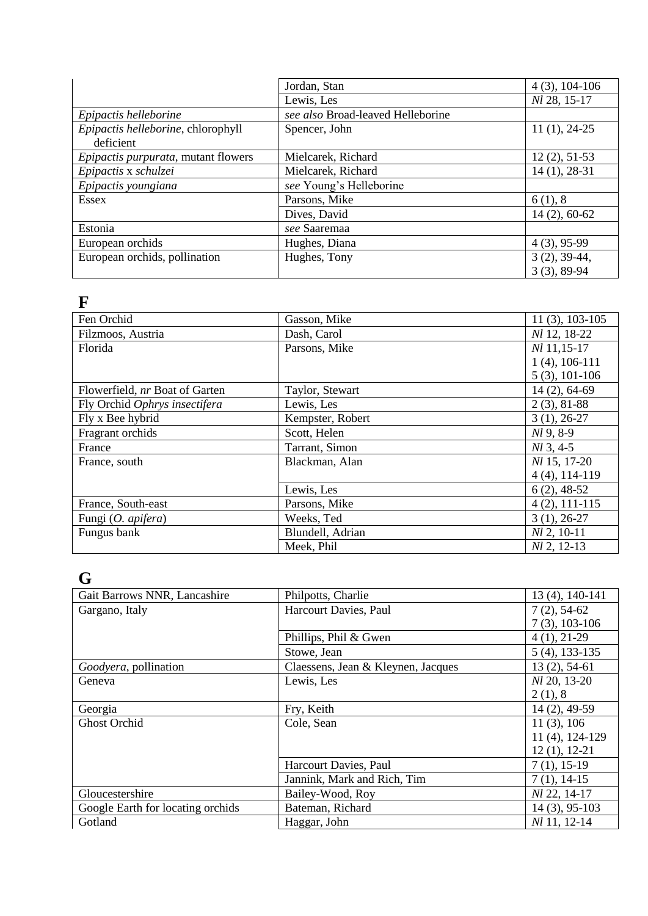|                                     | Jordan, Stan                      | $4(3), 104-106$ |
|-------------------------------------|-----------------------------------|-----------------|
|                                     | Lewis, Les                        | Nl 28, 15-17    |
| Epipactis helleborine               | see also Broad-leaved Helleborine |                 |
| Epipactis helleborine, chlorophyll  | Spencer, John                     | $11(1), 24-25$  |
| deficient                           |                                   |                 |
| Epipactis purpurata, mutant flowers | Mielcarek, Richard                | $12(2), 51-53$  |
| Epipactis x schulzei                | Mielcarek, Richard                | $14(1), 28-31$  |
| Epipactis youngiana                 | see Young's Helleborine           |                 |
| <b>Essex</b>                        | Parsons, Mike                     | 6(1), 8         |
|                                     | Dives, David                      | $14(2), 60-62$  |
| Estonia                             | see Saaremaa                      |                 |
| European orchids                    | Hughes, Diana                     | $4(3), 95-99$   |
| European orchids, pollination       | Hughes, Tony                      | $3(2), 39-44,$  |
|                                     |                                   | $3(3), 89-94$   |

#### **F**

| Fen Orchid                     | Gasson, Mike     | $11(3), 103-105$    |
|--------------------------------|------------------|---------------------|
| Filzmoos, Austria              | Dash, Carol      | Nl 12, 18-22        |
| Florida                        | Parsons, Mike    | $Nl$ 11,15-17       |
|                                |                  | $1(4)$ , 106-111    |
|                                |                  | $5(3), 101-106$     |
| Flowerfield, nr Boat of Garten | Taylor, Stewart  | 14 (2), 64-69       |
| Fly Orchid Ophrys insectifera  | Lewis, Les       | $2(3), 81-88$       |
| Fly x Bee hybrid               | Kempster, Robert | $3(1), 26-27$       |
| Fragrant orchids               | Scott, Helen     | $Nl$ 9, 8-9         |
| France                         | Tarrant, Simon   | $Nl$ 3, 4-5         |
| France, south                  | Blackman, Alan   | <i>Nl</i> 15, 17-20 |
|                                |                  | $4(4)$ , 114-119    |
|                                | Lewis, Les       | $6(2)$ , 48-52      |
| France, South-east             | Parsons, Mike    | $4(2), 111-115$     |
| Fungi (O. apifera)             | Weeks, Ted       | $3(1), 26-27$       |
| Fungus bank                    | Blundell, Adrian | $Nl$ 2, 10-11       |
|                                | Meek, Phil       | $Nl$ 2, 12-13       |

#### **G**

| J                                 |                                    |                     |
|-----------------------------------|------------------------------------|---------------------|
| Gait Barrows NNR, Lancashire      | Philpotts, Charlie                 | 13 (4), 140-141     |
| Gargano, Italy                    | Harcourt Davies, Paul              | $7(2), 54-62$       |
|                                   |                                    | $7(3), 103-106$     |
|                                   | Phillips, Phil & Gwen              | $4(1), 21-29$       |
|                                   | Stowe, Jean                        | $5(4)$ , 133-135    |
| Goodyera, pollination             | Claessens, Jean & Kleynen, Jacques | $13(2), 54-61$      |
| Geneva                            | Lewis, Les                         | <i>Nl</i> 20, 13-20 |
|                                   |                                    | 2(1), 8             |
| Georgia                           | Fry, Keith                         | 14 (2), 49-59       |
| <b>Ghost Orchid</b>               | Cole, Sean                         | 11(3), 106          |
|                                   |                                    | 11 (4), 124-129     |
|                                   |                                    | $12(1), 12-21$      |
|                                   | Harcourt Davies, Paul              | $7(1), 15-19$       |
|                                   | Jannink, Mark and Rich, Tim        | $7(1), 14-15$       |
| Gloucestershire                   | Bailey-Wood, Roy                   | Nl 22, 14-17        |
| Google Earth for locating orchids | Bateman, Richard                   | 14 (3), 95-103      |
| Gotland                           | Haggar, John                       | Nl 11, 12-14        |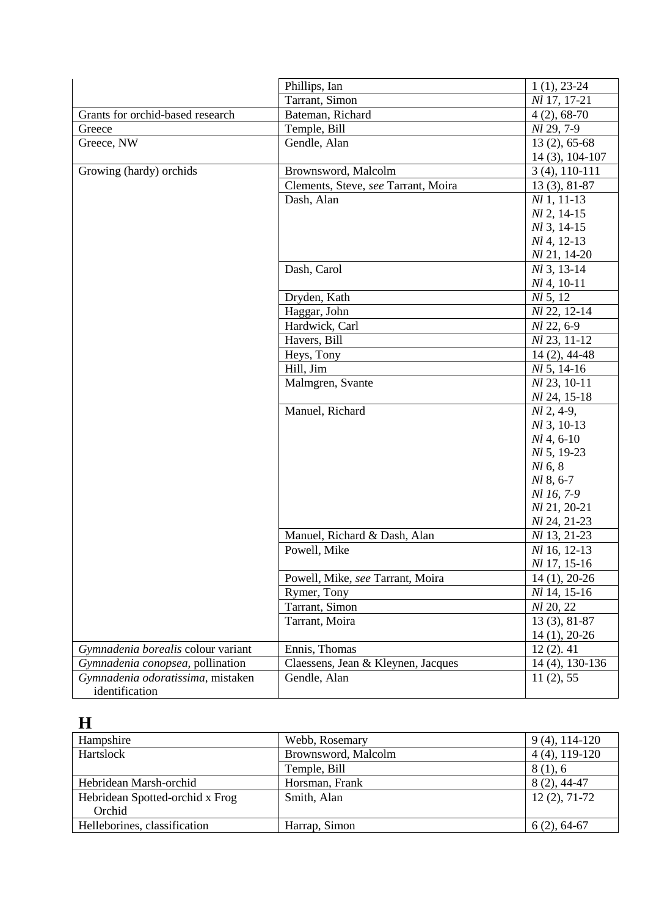|                                    | Phillips, Ian                       | $1(1), 23-24$       |
|------------------------------------|-------------------------------------|---------------------|
|                                    | Tarrant, Simon                      | Nl 17, 17-21        |
| Grants for orchid-based research   | Bateman, Richard                    | $4(2), 68-70$       |
| Greece                             | Temple, Bill                        | Nl 29, 7-9          |
| Greece, NW                         | Gendle, Alan                        | $13(2), 65-68$      |
|                                    |                                     | 14 (3), 104-107     |
| Growing (hardy) orchids            | Brownsword, Malcolm                 | $3(4)$ , 110-111    |
|                                    | Clements, Steve, see Tarrant, Moira | $13(3), 81-87$      |
|                                    | Dash, Alan                          | $Nl$ 1, 11-13       |
|                                    |                                     | $Nl$ 2, 14-15       |
|                                    |                                     | $Nl$ 3, 14-15       |
|                                    |                                     | $Nl$ 4, 12-13       |
|                                    |                                     | Nl 21, 14-20        |
|                                    | Dash, Carol                         | $M_3$ , 13-14       |
|                                    |                                     | $Nl$ 4, 10-11       |
|                                    | Dryden, Kath                        | Nl 5, 12            |
|                                    | Haggar, John                        | <i>Nl</i> 22, 12-14 |
|                                    | Hardwick, Carl                      | Nl 22, 6-9          |
|                                    | Havers, Bill                        | Nl 23, 11-12        |
|                                    | Heys, Tony                          | $14(2)$ , 44-48     |
|                                    | Hill, Jim                           | $Nl$ 5, 14-16       |
|                                    | Malmgren, Svante                    | Nl 23, 10-11        |
|                                    |                                     | Nl 24, 15-18        |
|                                    | Manuel, Richard                     | $Nl$ 2, 4-9,        |
|                                    |                                     | $Nl$ 3, 10-13       |
|                                    |                                     | $Nl$ 4, 6-10        |
|                                    |                                     | $Nl$ 5, 19-23       |
|                                    |                                     | $Nl$ 6, 8           |
|                                    |                                     | Nl 8, 6-7           |
|                                    |                                     | Nl 16, 7-9          |
|                                    |                                     | Nl 21, 20-21        |
|                                    |                                     | <i>Nl</i> 24, 21-23 |
|                                    | Manuel, Richard & Dash, Alan        | <i>NI</i> 13, 21-23 |
|                                    | Powell, Mike                        | Nl 16, 12-13        |
|                                    |                                     | Nl 17, 15-16        |
|                                    | Powell, Mike, see Tarrant, Moira    | $14(1), 20-26$      |
|                                    | Rymer, Tony                         | Nl 14, 15-16        |
|                                    | Tarrant, Simon                      | Nl 20, 22           |
|                                    | Tarrant, Moira                      | $13(3), 81-87$      |
|                                    |                                     | $14(1), 20-26$      |
| Gymnadenia borealis colour variant | Ennis, Thomas                       | $12(2)$ . 41        |
| Gymnadenia conopsea, pollination   | Claessens, Jean & Kleynen, Jacques  | 14 (4), 130-136     |
| Gymnadenia odoratissima, mistaken  | Gendle, Alan                        | 11(2), 55           |
| identification                     |                                     |                     |

## **H**

| Hampshire                       | Webb, Rosemary      | $9(4)$ , 114-120 |
|---------------------------------|---------------------|------------------|
| Hartslock                       | Brownsword, Malcolm | $4(4)$ , 119-120 |
|                                 | Temple, Bill        | 8(1), 6          |
| Hebridean Marsh-orchid          | Horsman, Frank      | $8(2)$ , 44-47   |
| Hebridean Spotted-orchid x Frog | Smith, Alan         | $12(2), 71-72$   |
| Orchid                          |                     |                  |
| Helleborines, classification    | Harrap, Simon       | $6(2), 64-67$    |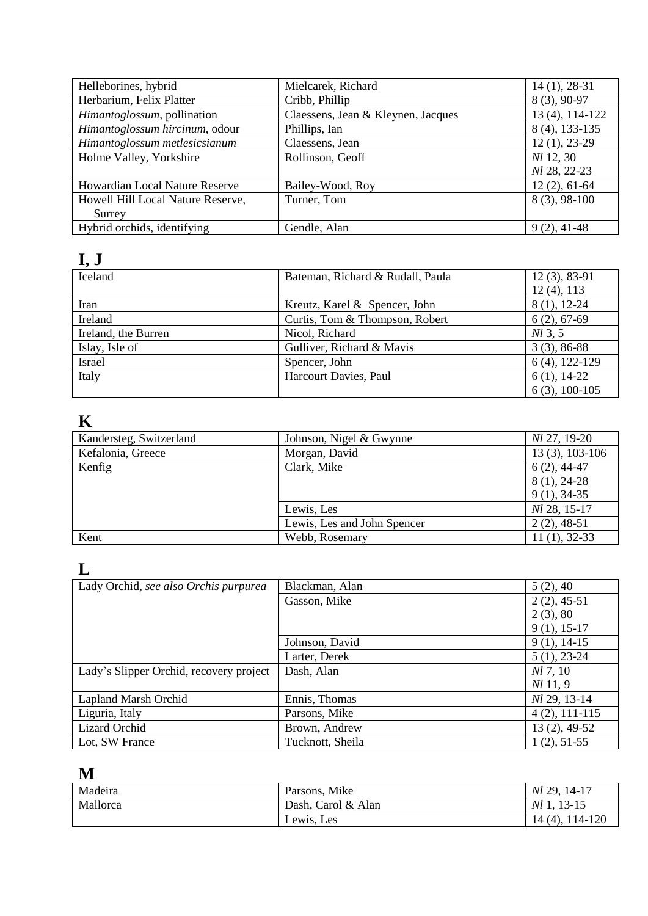| Helleborines, hybrid                  | Mielcarek, Richard                 | $14(1), 28-31$   |
|---------------------------------------|------------------------------------|------------------|
| Herbarium, Felix Platter              | Cribb, Phillip                     | 8 (3), 90-97     |
| Himantoglossum, pollination           | Claessens, Jean & Kleynen, Jacques | 13 (4), 114-122  |
| Himantoglossum hircinum, odour        | Phillips, Ian                      | 8 (4), 133-135   |
| Himantoglossum metlesicsianum         | Claessens, Jean                    | $12(1), 23-29$   |
| Holme Valley, Yorkshire               | Rollinson, Geoff                   | <i>Nl</i> 12, 30 |
|                                       |                                    | Nl 28, 22-23     |
| <b>Howardian Local Nature Reserve</b> | Bailey-Wood, Roy                   | $12(2), 61-64$   |
| Howell Hill Local Nature Reserve,     | Turner, Tom                        | $8(3), 98-100$   |
| Surrey                                |                                    |                  |
| Hybrid orchids, identifying           | Gendle, Alan                       | $9(2), 41-48$    |

# **I, J**

| Iceland             | Bateman, Richard & Rudall, Paula | $12(3), 83-91$   |
|---------------------|----------------------------------|------------------|
|                     |                                  | $12(4)$ , 113    |
| Iran                | Kreutz, Karel & Spencer, John    | $8(1), 12-24$    |
| Ireland             | Curtis, Tom & Thompson, Robert   | $6(2), 67-69$    |
| Ireland, the Burren | Nicol, Richard                   | $M_3, 5$         |
| Islay, Isle of      | Gulliver, Richard & Mavis        | $3(3), 86-88$    |
| Israel              | Spencer, John                    | $6(4)$ , 122-129 |
| Italy               | Harcourt Davies, Paul            | $6(1), 14-22$    |
|                     |                                  | $6(3), 100-105$  |

### **K**

| Kandersteg, Switzerland | Johnson, Nigel & Gwynne     | <i>Nl</i> 27, 19-20 |
|-------------------------|-----------------------------|---------------------|
| Kefalonia, Greece       | Morgan, David               | $13(3), 103-106$    |
| Kenfig                  | Clark, Mike                 | $6(2)$ , 44-47      |
|                         |                             | $8(1), 24-28$       |
|                         |                             | $9(1), 34-35$       |
|                         | Lewis, Les                  | Nl 28, 15-17        |
|                         | Lewis, Les and John Spencer | $2(2)$ , 48-51      |
| Kent                    | Webb, Rosemary              | $11(1), 32-33$      |

## **L**

| Lady Orchid, see also Orchis purpurea   | Blackman, Alan   | 5(2), 40        |
|-----------------------------------------|------------------|-----------------|
|                                         | Gasson, Mike     | $2(2), 45-51$   |
|                                         |                  | 2(3), 80        |
|                                         |                  | $9(1), 15-17$   |
|                                         | Johnson, David   | $9(1), 14-15$   |
|                                         | Larter, Derek    | $5(1), 23-24$   |
| Lady's Slipper Orchid, recovery project | Dash, Alan       | $Nl$ 7, 10      |
|                                         |                  | $Nl$ 11, 9      |
| Lapland Marsh Orchid                    | Ennis, Thomas    | Nl 29, 13-14    |
| Liguria, Italy                          | Parsons, Mike    | $4(2), 111-115$ |
| <b>Lizard Orchid</b>                    | Brown, Andrew    | 13 (2), 49-52   |
| Lot, SW France                          | Tucknott, Sheila | $1(2), 51-55$   |

### **M**

| ---      |                    |                     |
|----------|--------------------|---------------------|
| Madeira  | Parsons, Mike      | <i>Nl</i> 29, 14-17 |
| Mallorca | Dash, Carol & Alan | $13-15$<br>Nl 1.    |
|          | Lewis, Les         | 114-120<br>14 (4).  |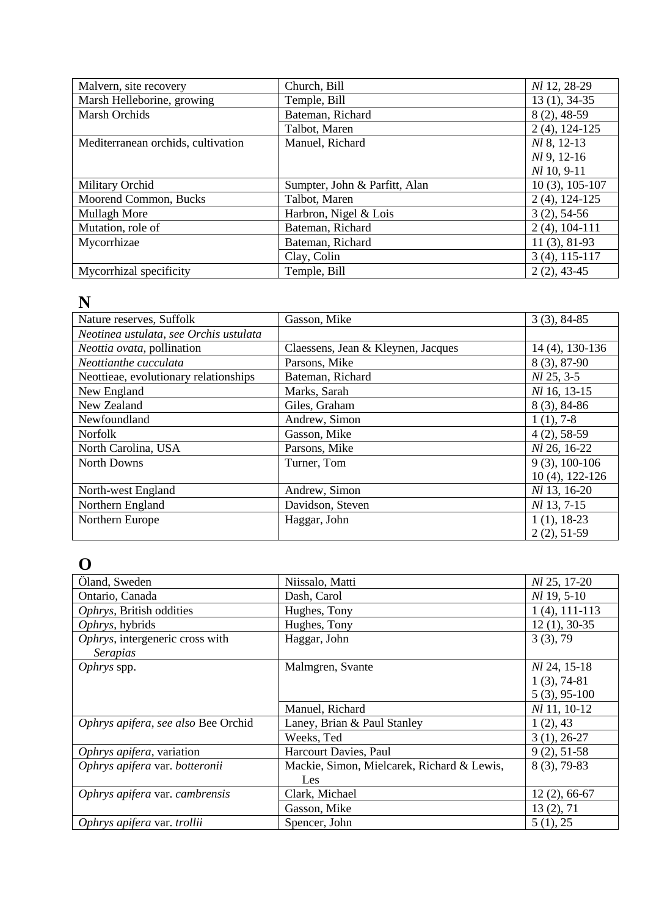| Malvern, site recovery             | Church, Bill                  | Nl 12, 28-29        |
|------------------------------------|-------------------------------|---------------------|
| Marsh Helleborine, growing         | Temple, Bill                  | $13(1), 34-35$      |
| <b>Marsh Orchids</b>               | Bateman, Richard              | $8(2), 48-59$       |
|                                    | Talbot, Maren                 | $2(4)$ , 124-125    |
| Mediterranean orchids, cultivation | Manuel, Richard               | Nl 8, 12-13         |
|                                    |                               | $Nl$ 9, 12-16       |
|                                    |                               | $Nl$ 10, 9-11       |
| Military Orchid                    | Sumpter, John & Parfitt, Alan | $10(3)$ , $105-107$ |
| Moorend Common, Bucks              | Talbot, Maren                 | $2(4)$ , 124-125    |
| Mullagh More                       | Harbron, Nigel & Lois         | $3(2), 54-56$       |
| Mutation, role of                  | Bateman, Richard              | $2(4)$ , 104-111    |
| Mycorrhizae                        | Bateman, Richard              | $11(3), 81-93$      |
|                                    | Clay, Colin                   | $3(4)$ , 115-117    |
| Mycorrhizal specificity            | Temple, Bill                  | $2(2)$ , 43-45      |

#### **N**

| Nature reserves, Suffolk               | Gasson, Mike                       | $3(3), 84-85$      |
|----------------------------------------|------------------------------------|--------------------|
| Neotinea ustulata, see Orchis ustulata |                                    |                    |
| Neottia ovata, pollination             | Claessens, Jean & Kleynen, Jacques | 14 (4), 130-136    |
| Neottianthe cucculata                  | Parsons, Mike                      | 8 (3), 87-90       |
| Neottieae, evolutionary relationships  | Bateman, Richard                   | Nl 25, 3-5         |
| New England                            | Marks, Sarah                       | Nl 16, 13-15       |
| New Zealand                            | Giles, Graham                      | $8(3), 84-86$      |
| Newfoundland                           | Andrew, Simon                      | $1(1), 7-8$        |
| <b>Norfolk</b>                         | Gasson, Mike                       | $4(2), 58-59$      |
| North Carolina, USA                    | Parsons, Mike                      | Nl 26, 16-22       |
| North Downs                            | Turner, Tom                        | $9(3), 100-106$    |
|                                        |                                    | $10(4)$ , 122-126  |
| North-west England                     | Andrew, Simon                      | Nl 13, 16-20       |
| Northern England                       | Davidson, Steven                   | <i>Nl</i> 13, 7-15 |
| Northern Europe                        | Haggar, John                       | $1(1), 18-23$      |
|                                        |                                    | $2(2), 51-59$      |

### **O**

| Öland, Sweden                       | Niissalo, Matti                            | Nl 25, 17-20     |
|-------------------------------------|--------------------------------------------|------------------|
|                                     |                                            |                  |
| Ontario, Canada                     | Dash, Carol                                | $Nl$ 19, 5-10    |
| Ophrys, British oddities            | Hughes, Tony                               | $1(4)$ , 111-113 |
| Ophrys, hybrids                     | Hughes, Tony                               | $12(1), 30-35$   |
| Ophrys, intergeneric cross with     | Haggar, John                               | 3(3), 79         |
| Serapias                            |                                            |                  |
| Ophrys spp.                         | Malmgren, Svante                           | Nl 24, 15-18     |
|                                     |                                            | $1(3), 74-81$    |
|                                     |                                            | $5(3), 95-100$   |
|                                     | Manuel, Richard                            | Nl 11, 10-12     |
| Ophrys apifera, see also Bee Orchid | Laney, Brian & Paul Stanley                | 1(2), 43         |
|                                     | Weeks, Ted                                 | $3(1), 26-27$    |
| Ophrys apifera, variation           | Harcourt Davies, Paul                      | $9(2), 51-58$    |
| Ophrys apifera var. botteronii      | Mackie, Simon, Mielcarek, Richard & Lewis, | $8(3), 79-83$    |
|                                     | Les                                        |                  |
| Ophrys apifera var. cambrensis      | Clark, Michael                             | $12(2), 66-67$   |
|                                     | Gasson, Mike                               | 13(2), 71        |
| Ophrys apifera var. trollii         | Spencer, John                              | 5(1), 25         |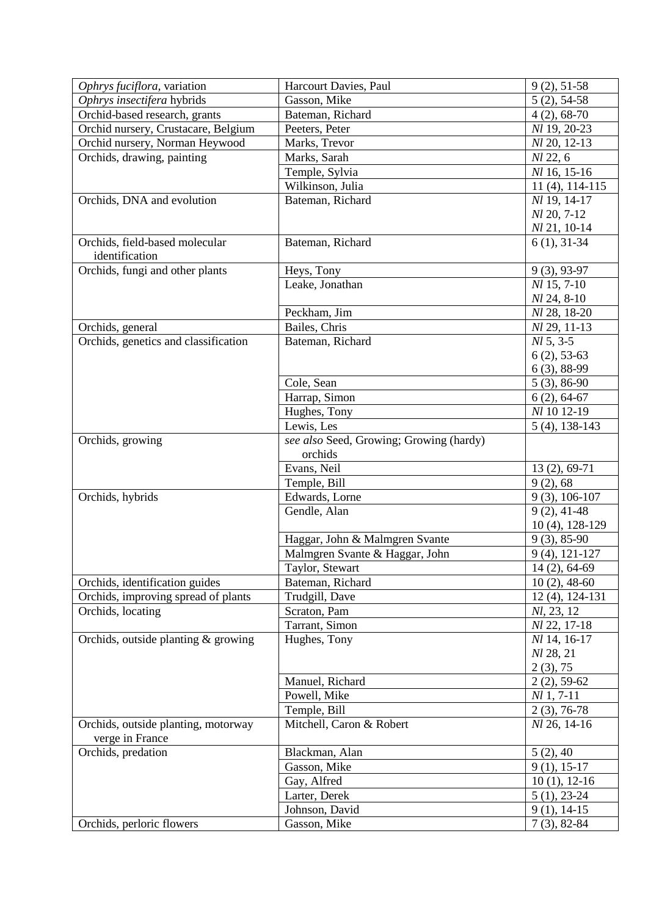| Ophrys fuciflora, variation          | Harcourt Davies, Paul                   | $9(2), 51-58$     |
|--------------------------------------|-----------------------------------------|-------------------|
| Ophrys insectifera hybrids           | Gasson, Mike                            | $5(2), 54-58$     |
| Orchid-based research, grants        | Bateman, Richard                        | $4(2), 68-70$     |
| Orchid nursery, Crustacare, Belgium  | Peeters, Peter                          | Nl 19, 20-23      |
| Orchid nursery, Norman Heywood       | Marks, Trevor                           | Nl 20, 12-13      |
| Orchids, drawing, painting           | Marks, Sarah                            | Nl 22, 6          |
|                                      | Temple, Sylvia                          | Nl 16, 15-16      |
|                                      | Wilkinson, Julia                        | $11(4)$ , 114-115 |
| Orchids, DNA and evolution           | Bateman, Richard                        | Nl 19, 14-17      |
|                                      |                                         | Nl 20, 7-12       |
|                                      |                                         | Nl 21, 10-14      |
| Orchids, field-based molecular       | Bateman, Richard                        | $6(1), 31-34$     |
| identification                       |                                         |                   |
| Orchids, fungi and other plants      | Heys, Tony                              | $9(3), 93-97$     |
|                                      | Leake, Jonathan                         | $Nl$ 15, 7-10     |
|                                      |                                         | $Nl$ 24, 8-10     |
|                                      | Peckham, Jim                            | Nl 28, 18-20      |
|                                      |                                         |                   |
| Orchids, general                     | Bailes, Chris                           | Nl 29, 11-13      |
| Orchids, genetics and classification | Bateman, Richard                        | $Nl$ 5, 3-5       |
|                                      |                                         | $6(2), 53-63$     |
|                                      |                                         | $6(3), 88-99$     |
|                                      | Cole, Sean                              | $5(3), 86-90$     |
|                                      | Harrap, Simon                           | $6(2), 64-67$     |
|                                      | Hughes, Tony                            | Nl 10 12-19       |
|                                      | Lewis, Les                              | $5(4)$ , 138-143  |
| Orchids, growing                     | see also Seed, Growing; Growing (hardy) |                   |
|                                      | orchids                                 |                   |
|                                      | Evans, Neil                             | 13 (2), 69-71     |
|                                      | Temple, Bill                            | 9(2), 68          |
| Orchids, hybrids                     | Edwards, Lorne                          | $9(3), 106-107$   |
|                                      | Gendle, Alan                            | $9(2), 41-48$     |
|                                      |                                         | 10 (4), 128-129   |
|                                      | Haggar, John & Malmgren Svante          | $9(3), 85-90$     |
|                                      | Malmgren Svante & Haggar, John          | $9(4)$ , 121-127  |
|                                      | Taylor, Stewart                         | $14(2), 64-69$    |
| Orchids, identification guides       | Bateman, Richard                        | $10(2)$ , 48-60   |
| Orchids, improving spread of plants  | Trudgill, Dave                          | 12 (4), 124-131   |
| Orchids, locating                    | Scraton, Pam                            | Nl, 23, 12        |
|                                      | Tarrant, Simon                          | Nl 22, 17-18      |
| Orchids, outside planting & growing  | Hughes, Tony                            | Nl 14, 16-17      |
|                                      |                                         | Nl 28, 21         |
|                                      |                                         | 2(3), 75          |
|                                      | Manuel, Richard                         | $2(2), 59-62$     |
|                                      | Powell, Mike                            | $Nl$ 1, 7-11      |
|                                      | Temple, Bill                            | $2(3), 76-78$     |
| Orchids, outside planting, motorway  | Mitchell, Caron & Robert                | Nl 26, 14-16      |
| verge in France                      |                                         |                   |
| Orchids, predation                   | Blackman, Alan                          | 5(2), 40          |
|                                      | Gasson, Mike                            | $9(1), 15-17$     |
|                                      | Gay, Alfred                             | $10(1), 12-16$    |
|                                      | Larter, Derek                           | $5(1), 23-24$     |
|                                      | Johnson, David                          | $9(1), 14-15$     |
| Orchids, perloric flowers            | Gasson, Mike                            |                   |
|                                      |                                         | $7(3), 82-84$     |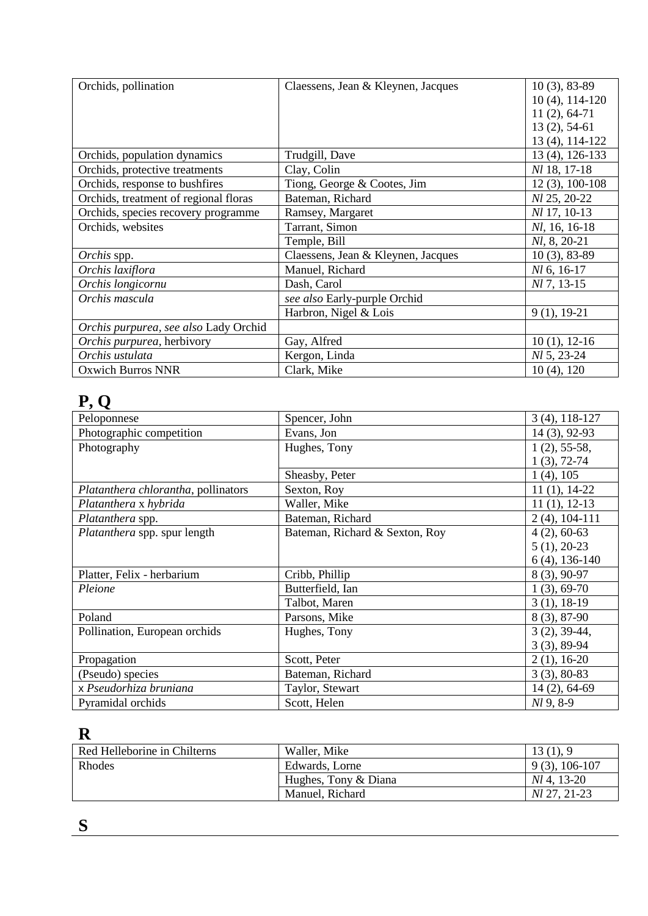| Orchids, pollination                  | Claessens, Jean & Kleynen, Jacques | $10(3), 83-89$      |
|---------------------------------------|------------------------------------|---------------------|
|                                       |                                    | $10(4)$ , $114-120$ |
|                                       |                                    | $11(2), 64-71$      |
|                                       |                                    | $13(2), 54-61$      |
|                                       |                                    | 13 (4), 114-122     |
| Orchids, population dynamics          | Trudgill, Dave                     | 13 (4), 126-133     |
| Orchids, protective treatments        | Clay, Colin                        | Nl 18, 17-18        |
| Orchids, response to bushfires        | Tiong, George & Cootes, Jim        | $12(3), 100-108$    |
| Orchids, treatment of regional floras | Bateman, Richard                   | Nl 25, 20-22        |
| Orchids, species recovery programme   | Ramsey, Margaret                   | Nl 17, 10-13        |
| Orchids, websites                     | Tarrant, Simon                     | Nl, 16, 16-18       |
|                                       | Temple, Bill                       | $Nl, 8, 20-21$      |
| Orchis spp.                           | Claessens, Jean & Kleynen, Jacques | $10(3)$ , 83-89     |
| Orchis laxiflora                      | Manuel, Richard                    | $Nl$ 6, 16-17       |
| Orchis longicornu                     | Dash, Carol                        | Nl 7, 13-15         |
| Orchis mascula                        | see also Early-purple Orchid       |                     |
|                                       | Harbron, Nigel & Lois              | $9(1), 19-21$       |
| Orchis purpurea, see also Lady Orchid |                                    |                     |
| Orchis purpurea, herbivory            | Gay, Alfred                        | $10(1), 12-16$      |
| Orchis ustulata                       | Kergon, Linda                      | <i>Nl</i> 5, 23-24  |
| <b>Oxwich Burros NNR</b>              | Clark, Mike                        | $10(4)$ , $120$     |

# **P, Q**

| Peloponnese                         | Spencer, John                  | $3(4)$ , 118-127 |
|-------------------------------------|--------------------------------|------------------|
| Photographic competition            | Evans, Jon                     | 14 (3), 92-93    |
| Photography                         | Hughes, Tony                   | $1(2), 55-58,$   |
|                                     |                                | $1(3), 72-74$    |
|                                     | Sheasby, Peter                 | $1(4)$ , 105     |
| Platanthera chlorantha, pollinators | Sexton, Roy                    | $11(1), 14-22$   |
| Platanthera x hybrida               | Waller, Mike                   | $11(1), 12-13$   |
| Platanthera spp.                    | Bateman, Richard               | $2(4)$ , 104-111 |
| Platanthera spp. spur length        | Bateman, Richard & Sexton, Roy | $4(2), 60-63$    |
|                                     |                                | $5(1), 20-23$    |
|                                     |                                | $6(4)$ , 136-140 |
| Platter, Felix - herbarium          | Cribb, Phillip                 | 8 (3), 90-97     |
| Pleione                             | Butterfield, Ian               | $1(3), 69-70$    |
|                                     | Talbot, Maren                  | $3(1), 18-19$    |
| Poland                              | Parsons, Mike                  | 8 (3), 87-90     |
| Pollination, European orchids       | Hughes, Tony                   | $3(2), 39-44,$   |
|                                     |                                | $3(3), 89-94$    |
| Propagation                         | Scott, Peter                   | $2(1), 16-20$    |
| (Pseudo) species                    | Bateman, Richard               | $3(3), 80-83$    |
| x Pseudorhiza bruniana              | Taylor, Stewart                | 14 (2), 64-69    |
| Pyramidal orchids                   | Scott, Helen                   | $Nl$ 9, 8-9      |

### **R**

| Red Helleborine in Chilterns | Waller, Mike         | 13(1), 9            |
|------------------------------|----------------------|---------------------|
| Rhodes                       | Edwards, Lorne       | $9(3)$ , 106-107    |
|                              | Hughes, Tony & Diana | <i>NL</i> 4, 13-20  |
|                              | Manuel, Richard      | <i>NL</i> 27, 21-23 |

**S**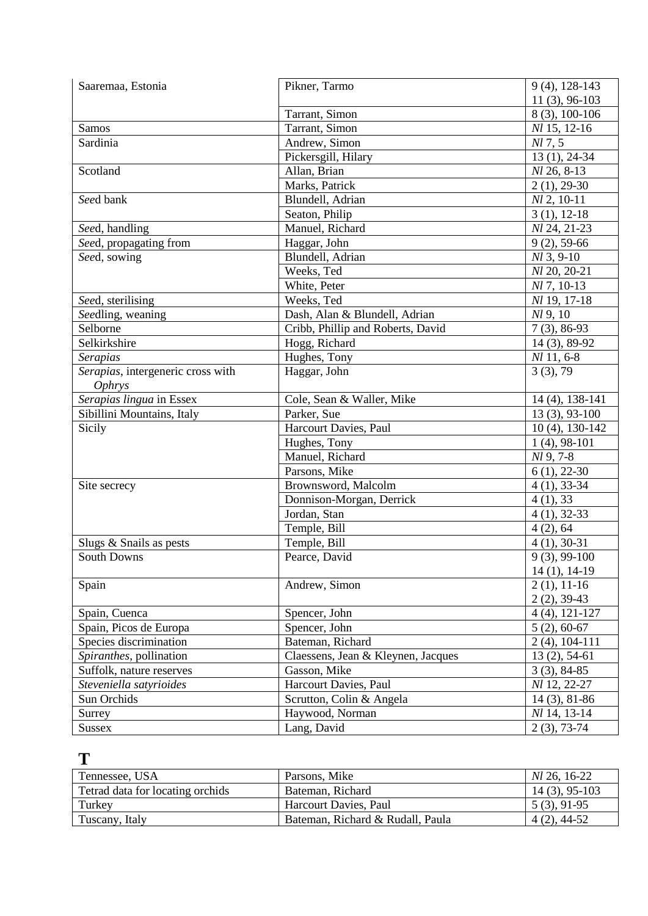| Saaremaa, Estonia                 | Pikner, Tarmo                      | 9 (4), 128-143    |
|-----------------------------------|------------------------------------|-------------------|
|                                   |                                    | $11(3), 96-103$   |
|                                   | Tarrant, Simon                     | 8 (3), 100-106    |
| Samos                             | Tarrant, Simon                     | Nl 15, 12-16      |
| Sardinia                          | Andrew, Simon                      | Nl 7, 5           |
|                                   | Pickersgill, Hilary                | $13(1), 24-34$    |
| Scotland                          | Allan, Brian                       | $Nl$ 26, 8-13     |
|                                   | Marks, Patrick                     | $2(1), 29-30$     |
| Seed bank                         | Blundell, Adrian                   | $Nl$ 2, 10-11     |
|                                   | Seaton, Philip                     | $3(1), 12-18$     |
| Seed, handling                    | Manuel, Richard                    | Nl 24, 21-23      |
| Seed, propagating from            | Haggar, John                       | $9(2)$ , 59-66    |
| Seed, sowing                      | Blundell, Adrian                   | $Nl$ 3, 9-10      |
|                                   | Weeks, Ted                         | Nl 20, 20-21      |
|                                   | White, Peter                       | $Nl$ 7, 10-13     |
| Seed, sterilising                 | Weeks, Ted                         | Nl 19, 17-18      |
| Seedling, weaning                 | Dash, Alan & Blundell, Adrian      | Nl 9, 10          |
| Selborne                          | Cribb, Phillip and Roberts, David  | $7(3), 86-93$     |
| Selkirkshire                      | Hogg, Richard                      | 14 (3), 89-92     |
| <b>Serapias</b>                   | Hughes, Tony                       | $Nl$ 11, 6-8      |
| Serapias, intergeneric cross with | Haggar, John                       | 3(3), 79          |
| Ophrys                            |                                    |                   |
| Serapias lingua in Essex          | Cole, Sean & Waller, Mike          | 14 (4), 138-141   |
| Sibillini Mountains, Italy        | Parker, Sue                        | $13(3), 93-100$   |
| Sicily                            | Harcourt Davies, Paul              | $10(4)$ , 130-142 |
|                                   | Hughes, Tony                       | $1(4)$ , 98-101   |
|                                   | Manuel, Richard                    | Nl 9, 7-8         |
|                                   | Parsons, Mike                      | $6(1), 22-30$     |
| Site secrecy                      | Brownsword, Malcolm                | $4(1), 33-34$     |
|                                   | Donnison-Morgan, Derrick           | 4(1), 33          |
|                                   | Jordan, Stan                       | $4(1), 32-33$     |
|                                   | Temple, Bill                       | 4(2), 64          |
| Slugs & Snails as pests           | Temple, Bill                       | $4(1), 30-31$     |
| <b>South Downs</b>                | Pearce, David                      | $9(3), 99-100$    |
|                                   |                                    | 14 (1), 14-19     |
| Spain                             | Andrew, Simon                      | $2(1), 11-16$     |
|                                   |                                    | $2(2), 39-43$     |
| Spain, Cuenca                     | Spencer, John                      | $4(4), 121-127$   |
| Spain, Picos de Europa            | Spencer, John                      | $5(2), 60-67$     |
| Species discrimination            | Bateman, Richard                   | $2(4)$ , 104-111  |
| Spiranthes, pollination           | Claessens, Jean & Kleynen, Jacques | $13(2), 54-61$    |
| Suffolk, nature reserves          | Gasson, Mike                       | $3(3), 84-85$     |
| Steveniella satyrioides           | Harcourt Davies, Paul              | Nl 12, 22-27      |
| Sun Orchids                       | Scrutton, Colin & Angela           | $14(3), 81-86$    |
| Surrey                            | Haywood, Norman                    | Nl 14, 13-14      |
| <b>Sussex</b>                     | Lang, David                        | $2(3), 73-74$     |

### **T**

| Tennessee, USA                   | Parsons, Mike                    | <i>Nl</i> 26, 16-22 |
|----------------------------------|----------------------------------|---------------------|
| Tetrad data for locating orchids | Bateman, Richard                 | $14(3), 95-103$     |
| Turkey                           | Harcourt Davies, Paul            | $5(3), 91-95$       |
| Tuscany, Italy                   | Bateman, Richard & Rudall, Paula | $4(2)$ , 44-52      |